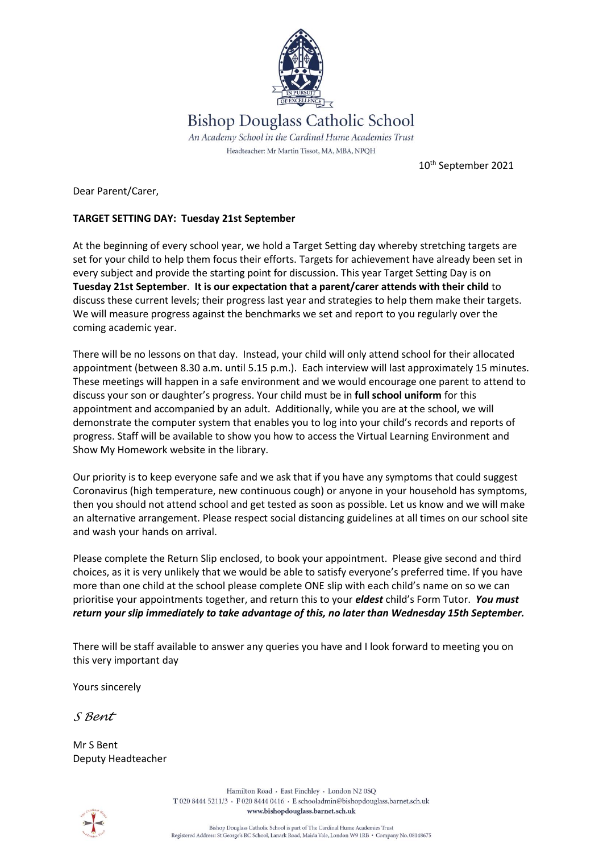

10th September 2021

Dear Parent/Carer,

## **TARGET SETTING DAY: Tuesday 21st September**

At the beginning of every school year, we hold a Target Setting day whereby stretching targets are set for your child to help them focus their efforts. Targets for achievement have already been set in every subject and provide the starting point for discussion. This year Target Setting Day is on **Tuesday 21st September**. **It is our expectation that a parent/carer attends with their child** to discuss these current levels; their progress last year and strategies to help them make their targets. We will measure progress against the benchmarks we set and report to you regularly over the coming academic year.

There will be no lessons on that day. Instead, your child will only attend school for their allocated appointment (between 8.30 a.m. until 5.15 p.m.). Each interview will last approximately 15 minutes. These meetings will happen in a safe environment and we would encourage one parent to attend to discuss your son or daughter's progress. Your child must be in **full school uniform** for this appointment and accompanied by an adult. Additionally, while you are at the school, we will demonstrate the computer system that enables you to log into your child's records and reports of progress. Staff will be available to show you how to access the Virtual Learning Environment and Show My Homework website in the library.

Our priority is to keep everyone safe and we ask that if you have any symptoms that could suggest Coronavirus (high temperature, new continuous cough) or anyone in your household has symptoms, then you should not attend school and get tested as soon as possible. Let us know and we will make an alternative arrangement. Please respect social distancing guidelines at all times on our school site and wash your hands on arrival.

Please complete the Return Slip enclosed, to book your appointment. Please give second and third choices, as it is very unlikely that we would be able to satisfy everyone's preferred time. If you have more than one child at the school please complete ONE slip with each child's name on so we can prioritise your appointments together, and return this to your *eldest* child's Form Tutor. *You must return your slip immediately to take advantage of this, no later than Wednesday 15th September.*

There will be staff available to answer any queries you have and I look forward to meeting you on this very important day

Yours sincerely

*S Bent*

Mr S Bent Deputy Headteacher

Hamilton Road · East Finchley · London N2 0SO T 020 8444 5211/3 · F 020 8444 0416 · E schooladmin@bishopdouglass.barnet.sch.uk www.bishopdouglass.barnet.sch.uk